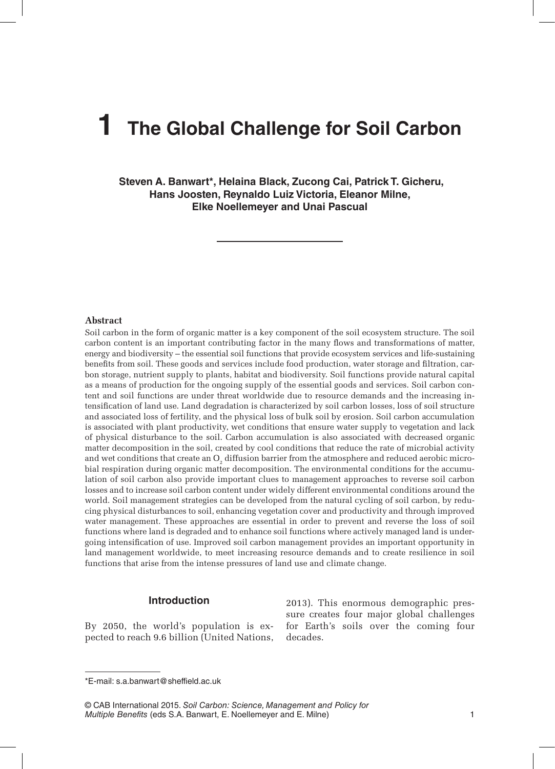# **1 The Global Challenge for Soil Carbon**

 **Steven A. Banwart\*, Helaina Black, Zucong Cai, Patrick T. Gicheru, Hans Joosten, Reynaldo Luiz Victoria, Eleanor Milne, Elke Noellemeyer and Unai Pascual**

#### **Abstract**

Soil carbon in the form of organic matter is a key component of the soil ecosystem structure. The soil carbon content is an important contributing factor in the many flows and transformations of matter, energy and biodiversity – the essential soil functions that provide ecosystem services and life-sustaining benefits from soil. These goods and services include food production, water storage and filtration, carbon storage, nutrient supply to plants, habitat and biodiversity. Soil functions provide natural capital as a means of production for the ongoing supply of the essential goods and services. Soil carbon content and soil functions are under threat worldwide due to resource demands and the increasing intensification of land use. Land degradation is characterized by soil carbon losses, loss of soil structure and associated loss of fertility, and the physical loss of bulk soil by erosion. Soil carbon accumulation is associated with plant productivity, wet conditions that ensure water supply to vegetation and lack of physical disturbance to the soil. Carbon accumulation is also associated with decreased organic matter decomposition in the soil, created by cool conditions that reduce the rate of microbial activity and wet conditions that create an  ${\rm O}_2$  diffusion barrier from the atmosphere and reduced aerobic microbial respiration during organic matter decomposition. The environmental conditions for the accumulation of soil carbon also provide important clues to management approaches to reverse soil carbon losses and to increase soil carbon content under widely different environmental conditions around the world. Soil management strategies can be developed from the natural cycling of soil carbon, by reducing physical disturbances to soil, enhancing vegetation cover and productivity and through improved water management. These approaches are essential in order to prevent and reverse the loss of soil functions where land is degraded and to enhance soil functions where actively managed land is undergoing intensification of use. Improved soil carbon management provides an important opportunity in land management worldwide, to meet increasing resource demands and to create resilience in soil functions that arise from the intense pressures of land use and climate change.

### **Introduction**

By 2050, the world's population is expected to reach 9.6 billion (United Nations,

2013). This enormous demographic pressure creates four major global challenges for Earth's soils over the coming four decades.

© CAB International 2015. *Soil Carbon: Science, Management and Policy for Multiple Benefits* (eds S.A. Banwart, E. Noellemeyer and E. Milne) 1

<sup>\*</sup>E-mail: s.a.banwart@sheffield.ac.uk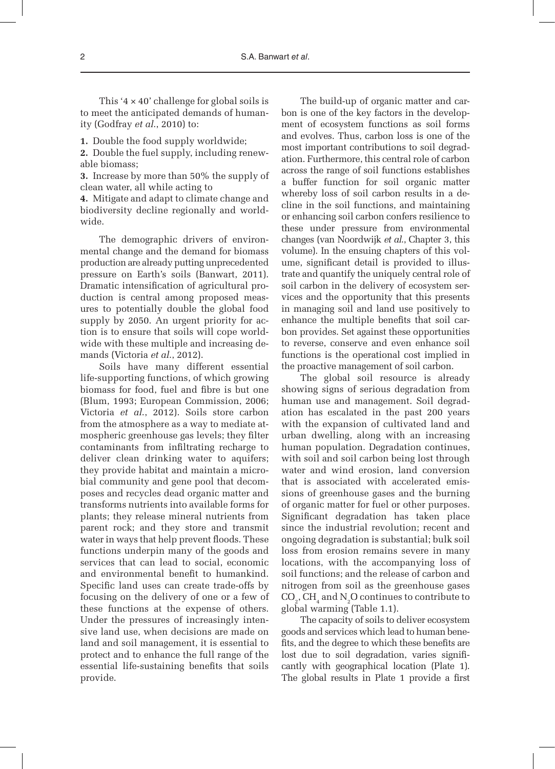This  $4 \times 40$ ' challenge for global soils is to meet the anticipated demands of humanity (Godfray *et al*., 2010) to:

**1.** Double the food supply worldwide;

**2.** Double the fuel supply, including renewable biomass;

**3.** Increase by more than 50% the supply of clean water, all while acting to

**4.** Mitigate and adapt to climate change and biodiversity decline regionally and worldwide.

The demographic drivers of environmental change and the demand for biomass production are already putting unprecedented pressure on Earth's soils (Banwart, 2011). Dramatic intensification of agricultural production is central among proposed measures to potentially double the global food supply by 2050. An urgent priority for action is to ensure that soils will cope worldwide with these multiple and increasing demands (Victoria *et al*., 2012).

Soils have many different essential life-supporting functions, of which growing biomass for food, fuel and fibre is but one (Blum, 1993; European Commission, 2006; Victoria *et al*., 2012). Soils store carbon from the atmosphere as a way to mediate atmospheric greenhouse gas levels; they filter contaminants from infiltrating recharge to deliver clean drinking water to aquifers; they provide habitat and maintain a microbial community and gene pool that decomposes and recycles dead organic matter and transforms nutrients into available forms for plants; they release mineral nutrients from parent rock; and they store and transmit water in ways that help prevent floods. These functions underpin many of the goods and services that can lead to social, economic and environmental benefit to humankind. Specific land uses can create trade-offs by focusing on the delivery of one or a few of these functions at the expense of others. Under the pressures of increasingly intensive land use, when decisions are made on land and soil management, it is essential to protect and to enhance the full range of the essential life-sustaining benefits that soils provide.

The build-up of organic matter and carbon is one of the key factors in the development of ecosystem functions as soil forms and evolves. Thus, carbon loss is one of the most important contributions to soil degradation. Furthermore, this central role of carbon across the range of soil functions establishes a buffer function for soil organic matter whereby loss of soil carbon results in a decline in the soil functions, and maintaining or enhancing soil carbon confers resilience to these under pressure from environmental changes (van Noordwijk *et al*., Chapter 3, this volume). In the ensuing chapters of this volume, significant detail is provided to illustrate and quantify the uniquely central role of soil carbon in the delivery of ecosystem services and the opportunity that this presents in managing soil and land use positively to enhance the multiple benefits that soil carbon provides. Set against these opportunities to reverse, conserve and even enhance soil functions is the operational cost implied in the proactive management of soil carbon.

The global soil resource is already showing signs of serious degradation from human use and management. Soil degradation has escalated in the past 200 years with the expansion of cultivated land and urban dwelling, along with an increasing human population. Degradation continues, with soil and soil carbon being lost through water and wind erosion, land conversion that is associated with accelerated emissions of greenhouse gases and the burning of organic matter for fuel or other purposes. Significant degradation has taken place since the industrial revolution; recent and ongoing degradation is substantial; bulk soil loss from erosion remains severe in many locations, with the accompanying loss of soil functions; and the release of carbon and nitrogen from soil as the greenhouse gases  $\mathrm{CO}_2^\mathrm{o}, \mathrm{CH}_4^\mathrm{}$  and  $\mathrm{N}_2\mathrm{O}$  continues to contribute to global warming (Table 1.1).

The capacity of soils to deliver ecosystem goods and services which lead to human benefits, and the degree to which these benefits are lost due to soil degradation, varies significantly with geographical location (Plate 1). The global results in Plate 1 provide a first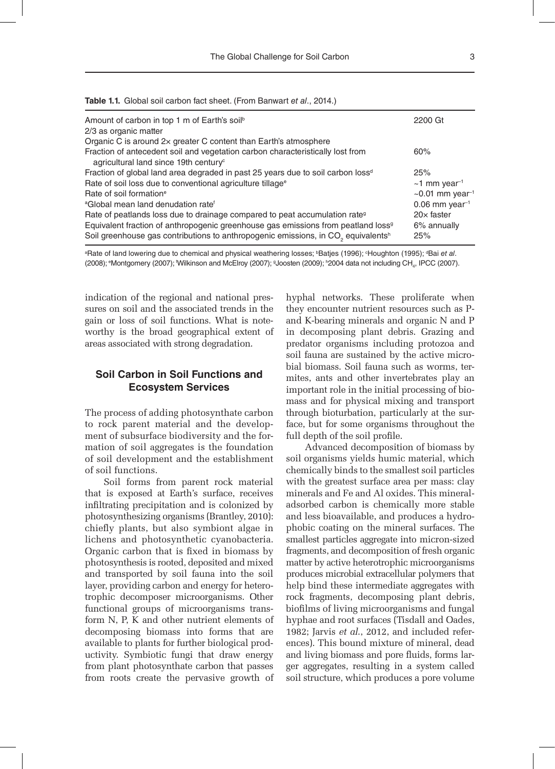|  |  |  |  |  | Table 1.1. Global soil carbon fact sheet. (From Banwart et al., 2014.) |  |  |  |
|--|--|--|--|--|------------------------------------------------------------------------|--|--|--|
|--|--|--|--|--|------------------------------------------------------------------------|--|--|--|

| Amount of carbon in top 1 m of Earth's soil <sup>b</sup>                                                                            | 2200 Gt                           |  |
|-------------------------------------------------------------------------------------------------------------------------------------|-----------------------------------|--|
| 2/3 as organic matter                                                                                                               |                                   |  |
| Organic C is around 2x greater C content than Earth's atmosphere                                                                    |                                   |  |
| Fraction of antecedent soil and vegetation carbon characteristically lost from<br>agricultural land since 19th century <sup>c</sup> | 60%                               |  |
| Fraction of global land area degraded in past 25 years due to soil carbon loss <sup>d</sup>                                         | 25%                               |  |
| Rate of soil loss due to conventional agriculture tillage <sup>®</sup>                                                              | $~1$ mm year <sup>-1</sup>        |  |
| Rate of soil formation <sup>e</sup>                                                                                                 | $\sim$ 0.01 mm year <sup>-1</sup> |  |
| <sup>a</sup> Global mean land denudation rate <sup>f</sup>                                                                          | $0.06$ mm year <sup>-1</sup>      |  |
| Rate of peatlands loss due to drainage compared to peat accumulation rate <sup>9</sup>                                              | $20\times$ faster                 |  |
| Equivalent fraction of anthropogenic greenhouse gas emissions from peatland loss <sup>9</sup>                                       | 6% annually                       |  |
| Soil greenhouse gas contributions to anthropogenic emissions, in CO <sub>2</sub> equivalents <sup>h</sup>                           | 25%                               |  |
|                                                                                                                                     |                                   |  |

<sup>a</sup>Rate of land lowering due to chemical and physical weathering losses; <sup>b</sup>Batjes (1996); <sup>c</sup>Houghton (1995); <sup>a</sup>Bai e*t al*. (2008); <sup>e</sup>Montgomery (2007); 'Wilkinson and McElroy (2007); <sup>g</sup>Joosten (2009); <sup>h</sup>2004 data not including CH<sub>4</sub>, IPCC (2007).

indication of the regional and national pressures on soil and the associated trends in the gain or loss of soil functions. What is noteworthy is the broad geographical extent of areas associated with strong degradation.

# **Soil Carbon in Soil Functions and Ecosystem Services**

The process of adding photosynthate carbon to rock parent material and the development of subsurface biodiversity and the formation of soil aggregates is the foundation of soil development and the establishment of soil functions.

Soil forms from parent rock material that is exposed at Earth's surface, receives infiltrating precipitation and is colonized by photosynthesizing organisms (Brantley, 2010): chiefly plants, but also symbiont algae in lichens and photosynthetic cyanobacteria. Organic carbon that is fixed in biomass by photosynthesis is rooted, deposited and mixed and transported by soil fauna into the soil layer, providing carbon and energy for heterotrophic decomposer microorganisms. Other functional groups of microorganisms transform N, P, K and other nutrient elements of decomposing biomass into forms that are available to plants for further biological productivity. Symbiotic fungi that draw energy from plant photosynthate carbon that passes from roots create the pervasive growth of

hyphal networks. These proliferate when they encounter nutrient resources such as Pand K-bearing minerals and organic N and P in decomposing plant debris. Grazing and predator organisms including protozoa and soil fauna are sustained by the active microbial biomass. Soil fauna such as worms, termites, ants and other invertebrates play an important role in the initial processing of biomass and for physical mixing and transport through bioturbation, particularly at the surface, but for some organisms throughout the full depth of the soil profile.

Advanced decomposition of biomass by soil organisms yields humic material, which chemically binds to the smallest soil particles with the greatest surface area per mass: clay minerals and Fe and Al oxides. This mineraladsorbed carbon is chemically more stable and less bioavailable, and produces a hydrophobic coating on the mineral surfaces. The smallest particles aggregate into micron-sized fragments, and decomposition of fresh organic matter by active heterotrophic microorganisms produces microbial extracellular polymers that help bind these intermediate aggregates with rock fragments, decomposing plant debris, biofilms of living microorganisms and fungal hyphae and root surfaces (Tisdall and Oades, 1982; Jarvis *et al*., 2012, and included references). This bound mixture of mineral, dead and living biomass and pore fluids, forms larger aggregates, resulting in a system called soil structure, which produces a pore volume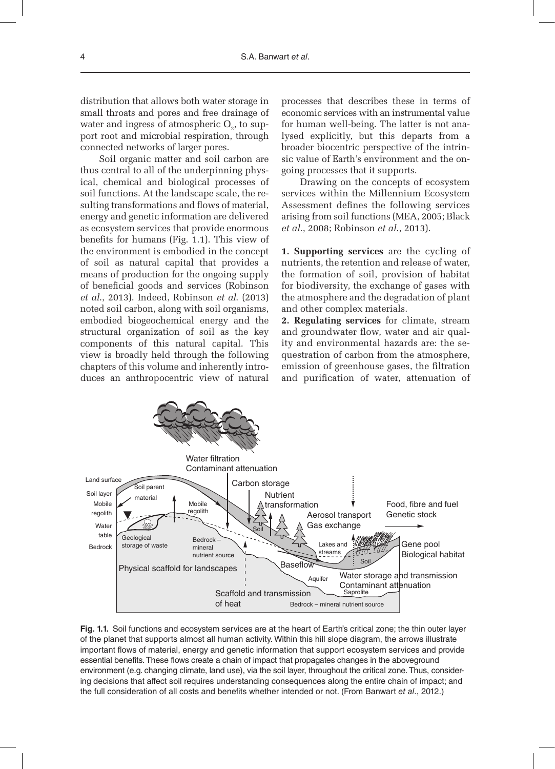distribution that allows both water storage in small throats and pores and free drainage of water and ingress of atmospheric  $O_2$ , to support root and microbial respiration, through connected networks of larger pores.

Soil organic matter and soil carbon are thus central to all of the underpinning physical, chemical and biological processes of soil functions. At the landscape scale, the resulting transformations and flows of material, energy and genetic information are delivered as ecosystem services that provide enormous benefits for humans (Fig. 1.1). This view of the environment is embodied in the concept of soil as natural capital that provides a means of production for the ongoing supply of beneficial goods and services (Robinson *et al*., 2013). Indeed, Robinson *et al*. (2013) noted soil carbon, along with soil organisms, embodied biogeochemical energy and the structural organization of soil as the key components of this natural capital. This view is broadly held through the following chapters of this volume and inherently introduces an anthropocentric view of natural processes that describes these in terms of economic services with an instrumental value for human well-being. The latter is not analysed explicitly, but this departs from a broader biocentric perspective of the intrinsic value of Earth's environment and the ongoing processes that it supports.

Drawing on the concepts of ecosystem services within the Millennium Ecosystem Assessment defines the following services arising from soil functions (MEA, 2005; Black *et al*., 2008; Robinson *et al*., 2013).

**1. Supporting services** are the cycling of nutrients, the retention and release of water, the formation of soil, provision of habitat for biodiversity, the exchange of gases with the atmosphere and the degradation of plant and other complex materials.

**2. Regulating services** for climate, stream and groundwater flow, water and air quality and environmental hazards are: the sequestration of carbon from the atmosphere, emission of greenhouse gases, the filtration and purification of water, attenuation of



**Fig. 1.1.** Soil functions and ecosystem services are at the heart of Earth's critical zone; the thin outer layer of the planet that supports almost all human activity. Within this hill slope diagram, the arrows illustrate important flows of material, energy and genetic information that support ecosystem services and provide essential benefits. These flows create a chain of impact that propagates changes in the aboveground environment (e.g. changing climate, land use), via the soil layer, throughout the critical zone. Thus, considering decisions that affect soil requires understanding consequences along the entire chain of impact; and the full consideration of all costs and benefits whether intended or not. (From Banwart *et al*., 2012.)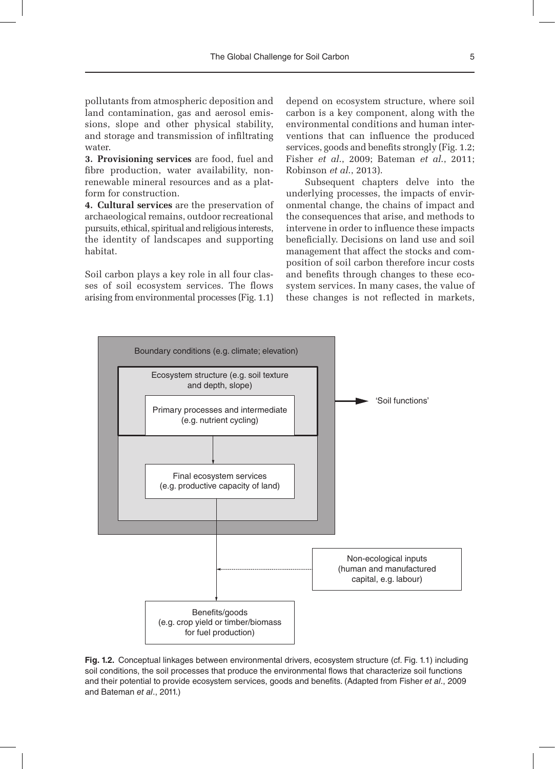pollutants from atmospheric deposition and land contamination, gas and aerosol emissions, slope and other physical stability, and storage and transmission of infiltrating water

**3. Provisioning services** are food, fuel and fibre production, water availability, nonrenewable mineral resources and as a platform for construction.

**4. Cultural services** are the preservation of archaeological remains, outdoor recreational pursuits, ethical, spiritual and religious interests, the identity of landscapes and supporting habitat.

Soil carbon plays a key role in all four classes of soil ecosystem services. The flows arising from environmental processes (Fig. 1.1) depend on ecosystem structure, where soil carbon is a key component, along with the environmental conditions and human interventions that can influence the produced services, goods and benefits strongly (Fig. 1.2; Fisher *et al*., 2009; Bateman *et al*., 2011; Robinson *et al*., 2013).

Subsequent chapters delve into the underlying processes, the impacts of environmental change, the chains of impact and the consequences that arise, and methods to intervene in order to influence these impacts beneficially. Decisions on land use and soil management that affect the stocks and composition of soil carbon therefore incur costs and benefits through changes to these ecosystem services. In many cases, the value of these changes is not reflected in markets,



**Fig. 1.2.** Conceptual linkages between environmental drivers, ecosystem structure (cf. Fig. 1.1) including soil conditions, the soil processes that produce the environmental flows that characterize soil functions and their potential to provide ecosystem services, goods and benefits. (Adapted from Fisher *et al*., 2009 and Bateman *et al*., 2011.)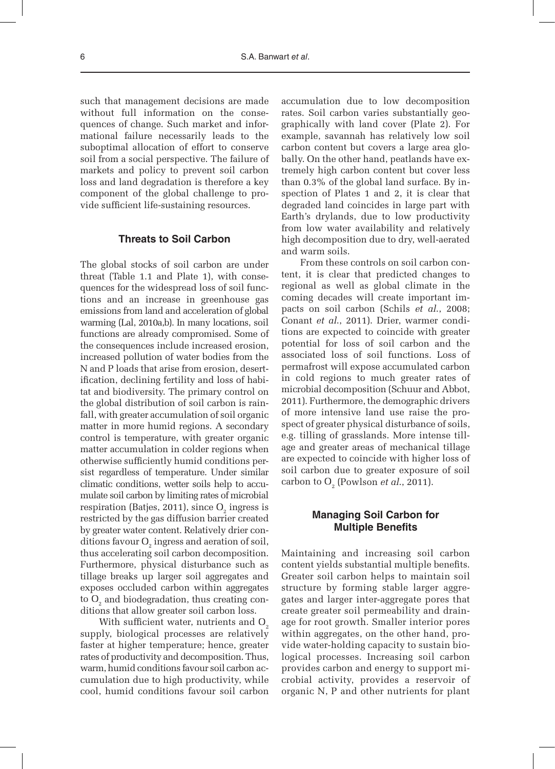such that management decisions are made without full information on the consequences of change. Such market and informational failure necessarily leads to the suboptimal allocation of effort to conserve soil from a social perspective. The failure of markets and policy to prevent soil carbon loss and land degradation is therefore a key component of the global challenge to provide sufficient life-sustaining resources.

## **Threats to Soil Carbon**

The global stocks of soil carbon are under threat (Table 1.1 and Plate 1), with consequences for the widespread loss of soil functions and an increase in greenhouse gas emissions from land and acceleration of global warming (Lal, 2010a,b). In many locations, soil functions are already compromised. Some of the consequences include increased erosion, increased pollution of water bodies from the N and P loads that arise from erosion, desertification, declining fertility and loss of habitat and biodiversity. The primary control on the global distribution of soil carbon is rainfall, with greater accumulation of soil organic matter in more humid regions. A secondary control is temperature, with greater organic matter accumulation in colder regions when otherwise sufficiently humid conditions persist regardless of temperature. Under similar climatic conditions, wetter soils help to accumulate soil carbon by limiting rates of microbial respiration (Batjes, 2011), since  ${\rm O}_{_{2}}$  ingress is restricted by the gas diffusion barrier created by greater water content. Relatively drier conditions favour  $O_2$  ingress and aeration of soil, thus accelerating soil carbon decomposition. Furthermore, physical disturbance such as tillage breaks up larger soil aggregates and exposes occluded carbon within aggregates to  ${\rm O}_{_{2}}$  and biodegradation, thus creating conditions that allow greater soil carbon loss.

With sufficient water, nutrients and  $O<sub>z</sub>$ supply, biological processes are relatively faster at higher temperature; hence, greater rates of productivity and decomposition. Thus, warm, humid conditions favour soil carbon accumulation due to high productivity, while cool, humid conditions favour soil carbon accumulation due to low decomposition rates. Soil carbon varies substantially geographically with land cover (Plate 2). For example, savannah has relatively low soil carbon content but covers a large area globally. On the other hand, peatlands have extremely high carbon content but cover less than 0.3% of the global land surface. By inspection of Plates 1 and 2, it is clear that degraded land coincides in large part with Earth's drylands, due to low productivity from low water availability and relatively high decomposition due to dry, well-aerated and warm soils.

From these controls on soil carbon content, it is clear that predicted changes to regional as well as global climate in the coming decades will create important impacts on soil carbon (Schils *et al*., 2008; Conant *et al*., 2011). Drier, warmer conditions are expected to coincide with greater potential for loss of soil carbon and the associated loss of soil functions. Loss of permafrost will expose accumulated carbon in cold regions to much greater rates of microbial decomposition (Schuur and Abbot, 2011). Furthermore, the demographic drivers of more intensive land use raise the prospect of greater physical disturbance of soils, e.g. tilling of grasslands. More intense tillage and greater areas of mechanical tillage are expected to coincide with higher loss of soil carbon due to greater exposure of soil carbon to  $O_2$  (Powlson *et al.*, 2011).

# **Managing Soil Carbon for Multiple Benefits**

Maintaining and increasing soil carbon content yields substantial multiple benefits. Greater soil carbon helps to maintain soil structure by forming stable larger aggregates and larger inter-aggregate pores that create greater soil permeability and drainage for root growth. Smaller interior pores within aggregates, on the other hand, provide water-holding capacity to sustain biological processes. Increasing soil carbon provides carbon and energy to support microbial activity, provides a reservoir of organic N, P and other nutrients for plant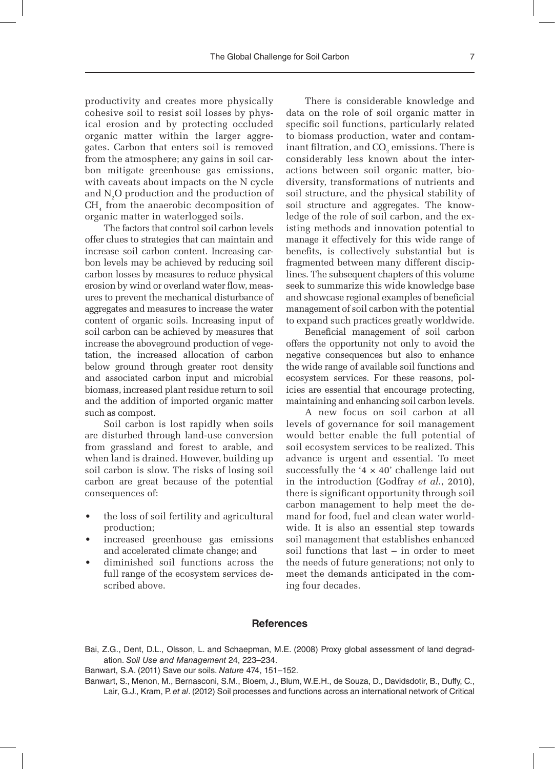productivity and creates more physically cohesive soil to resist soil losses by physical erosion and by protecting occluded organic matter within the larger aggregates. Carbon that enters soil is removed from the atmosphere; any gains in soil carbon mitigate greenhouse gas emissions, with caveats about impacts on the N cycle and  $N_2O$  production and the production of CH4 from the anaerobic decomposition of organic matter in waterlogged soils.

The factors that control soil carbon levels offer clues to strategies that can maintain and increase soil carbon content. Increasing carbon levels may be achieved by reducing soil carbon losses by measures to reduce physical erosion by wind or overland water flow, measures to prevent the mechanical disturbance of aggregates and measures to increase the water content of organic soils. Increasing input of soil carbon can be achieved by measures that increase the aboveground production of vegetation, the increased allocation of carbon below ground through greater root density and associated carbon input and microbial biomass, increased plant residue return to soil and the addition of imported organic matter such as compost.

Soil carbon is lost rapidly when soils are disturbed through land-use conversion from grassland and forest to arable, and when land is drained. However, building up soil carbon is slow. The risks of losing soil carbon are great because of the potential consequences of:

- the loss of soil fertility and agricultural production;
- increased greenhouse gas emissions and accelerated climate change; and
- diminished soil functions across the full range of the ecosystem services described above.

There is considerable knowledge and data on the role of soil organic matter in specific soil functions, particularly related to biomass production, water and contaminant filtration, and  $\mathrm{CO}_2$  emissions. There is considerably less known about the interactions between soil organic matter, biodiversity, transformations of nutrients and soil structure, and the physical stability of soil structure and aggregates. The knowledge of the role of soil carbon, and the existing methods and innovation potential to manage it effectively for this wide range of benefits, is collectively substantial but is fragmented between many different disciplines. The subsequent chapters of this volume seek to summarize this wide knowledge base and showcase regional examples of beneficial management of soil carbon with the potential to expand such practices greatly worldwide.

Beneficial management of soil carbon offers the opportunity not only to avoid the negative consequences but also to enhance the wide range of available soil functions and ecosystem services. For these reasons, policies are essential that encourage protecting, maintaining and enhancing soil carbon levels.

A new focus on soil carbon at all levels of governance for soil management would better enable the full potential of soil ecosystem services to be realized. This advance is urgent and essential. To meet successfully the '4  $\times$  40' challenge laid out in the introduction (Godfray *et al*., 2010), there is significant opportunity through soil carbon management to help meet the demand for food, fuel and clean water worldwide. It is also an essential step towards soil management that establishes enhanced soil functions that last – in order to meet the needs of future generations; not only to meet the demands anticipated in the coming four decades.

### **References**

Bai, Z.G., Dent, D.L., Olsson, L. and Schaepman, M.E. (2008) Proxy global assessment of land degradation. *Soil Use and Management* 24, 223–234.

Banwart, S.A. (2011) Save our soils. *Nature* 474, 151–152.

Banwart, S., Menon, M., Bernasconi, S.M., Bloem, J., Blum, W.E.H., de Souza, D., Davidsdotir, B., Duffy, C., Lair, G.J., Kram, P. *et al*. (2012) Soil processes and functions across an international network of Critical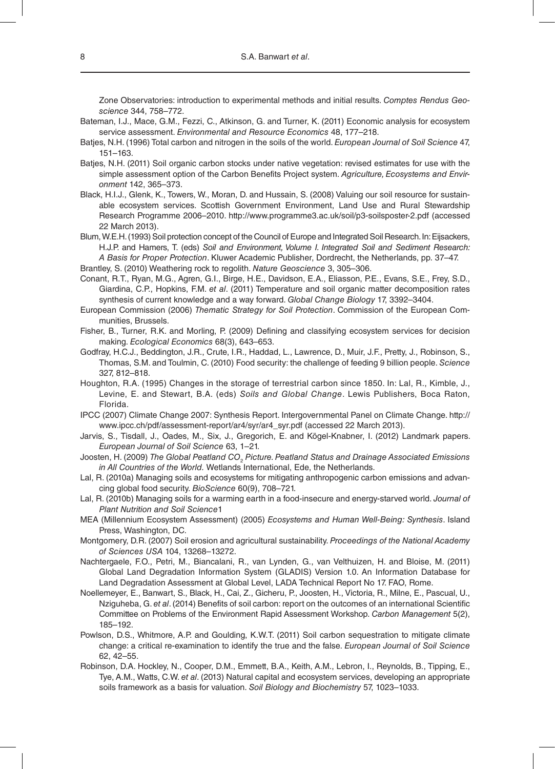Zone Observatories: introduction to experimental methods and initial results. *Comptes Rendus Geoscience* 344, 758–772.

- Bateman, I.J., Mace, G.M., Fezzi, C., Atkinson, G. and Turner, K. (2011) Economic analysis for ecosystem service assessment. *Environmental and Resource Economics* 48, 177–218.
- Batjes, N.H. (1996) Total carbon and nitrogen in the soils of the world. *European Journal of Soil Science* 47, 151–163.
- Batjes, N.H. (2011) Soil organic carbon stocks under native vegetation: revised estimates for use with the simple assessment option of the Carbon Benefits Project system. *Agriculture, Ecosystems and Environment* 142, 365–373.
- Black, H.I.J., Glenk, K., Towers, W., Moran, D. and Hussain, S. (2008) Valuing our soil resource for sustainable ecosystem services. Scottish Government Environment, Land Use and Rural Stewardship Research Programme 2006–2010. http://www.programme3.ac.uk/soil/p3-soilsposter-2.pdf (accessed 22 March 2013).
- Blum, W.E.H. (1993) Soil protection concept of the Council of Europe and Integrated Soil Research. In: Eijsackers, H.J.P. and Hamers, T. (eds) *Soil and Environment, Volume I. Integrated Soil and Sediment Research: A Basis for Proper Protection*. Kluwer Academic Publisher, Dordrecht, the Netherlands, pp. 37–47. Brantley, S. (2010) Weathering rock to regolith. *Nature Geoscience* 3, 305–306.
- Conant, R.T., Ryan, M.G., Agren, G.I., Birge, H.E., Davidson, E.A., Eliasson, P.E., Evans, S.E., Frey, S.D., Giardina, C.P., Hopkins, F.M. *et al*. (2011) Temperature and soil organic matter decomposition rates synthesis of current knowledge and a way forward. *Global Change Biology* 17, 3392–3404.
- European Commission (2006) *Thematic Strategy for Soil Protection*. Commission of the European Communities, Brussels.
- Fisher, B., Turner, R.K. and Morling, P. (2009) Defining and classifying ecosystem services for decision making. *Ecological Economics* 68(3), 643–653.
- Godfray, H.C.J., Beddington, J.R., Crute, I.R., Haddad, L., Lawrence, D., Muir, J.F., Pretty, J., Robinson, S., Thomas, S.M. and Toulmin, C. (2010) Food security: the challenge of feeding 9 billion people. *Science* 327, 812–818.
- Houghton, R.A. (1995) Changes in the storage of terrestrial carbon since 1850. In: Lal, R., Kimble, J., Levine, E. and Stewart, B.A. (eds) *Soils and Global Change*. Lewis Publishers, Boca Raton, Florida.
- IPCC (2007) Climate Change 2007: Synthesis Report. Intergovernmental Panel on Climate Change. http:// www.ipcc.ch/pdf/assessment-report/ar4/syr/ar4\_syr.pdf (accessed 22 March 2013).
- Jarvis, S., Tisdall, J., Oades, M., Six, J., Gregorich, E. and Kögel-Knabner, I. (2012) Landmark papers. *European Journal of Soil Science* 63, 1–21.
- Joosten, H. (2009) *The Global Peatland CO*<sup>2</sup>  *Picture. Peatland Status and Drainage Associated Emissions in All Countries of the World.* Wetlands International, Ede, the Netherlands.
- Lal, R. (2010a) Managing soils and ecosystems for mitigating anthropogenic carbon emissions and advancing global food security. *BioScience* 60(9), 708–721.
- Lal, R. (2010b) Managing soils for a warming earth in a food-insecure and energy-starved world. *Journal of Plant Nutrition and Soil Science*1
- MEA (Millennium Ecosystem Assessment) (2005) *Ecosystems and Human Well-Being: Synthesis*. Island Press, Washington, DC.
- Montgomery, D.R. (2007) Soil erosion and agricultural sustainability. *Proceedings of the National Academy of Sciences USA* 104, 13268–13272.
- Nachtergaele, F.O., Petri, M., Biancalani, R., van Lynden, G., van Velthuizen, H. and Bloise, M. (2011) Global Land Degradation Information System (GLADIS) Version 1.0. An Information Database for Land Degradation Assessment at Global Level, LADA Technical Report No 17. FAO, Rome.
- Noellemeyer, E., Banwart, S., Black, H., Cai, Z., Gicheru, P., Joosten, H., Victoria, R., Milne, E., Pascual, U., Nziguheba, G. *et al*. (2014) Benefits of soil carbon: report on the outcomes of an international Scientific Committee on Problems of the Environment Rapid Assessment Workshop. *Carbon Management* 5(2), 185–192.
- Powlson, D.S., Whitmore, A.P. and Goulding, K.W.T. (2011) Soil carbon sequestration to mitigate climate change: a critical re-examination to identify the true and the false. *European Journal of Soil Science* 62, 42–55.
- Robinson, D.A. Hockley, N., Cooper, D.M., Emmett, B.A., Keith, A.M., Lebron, I., Reynolds, B., Tipping, E., Tye, A.M., Watts, C.W. *et al*. (2013) Natural capital and ecosystem services, developing an appropriate soils framework as a basis for valuation. *Soil Biology and Biochemistry* 57, 1023–1033.